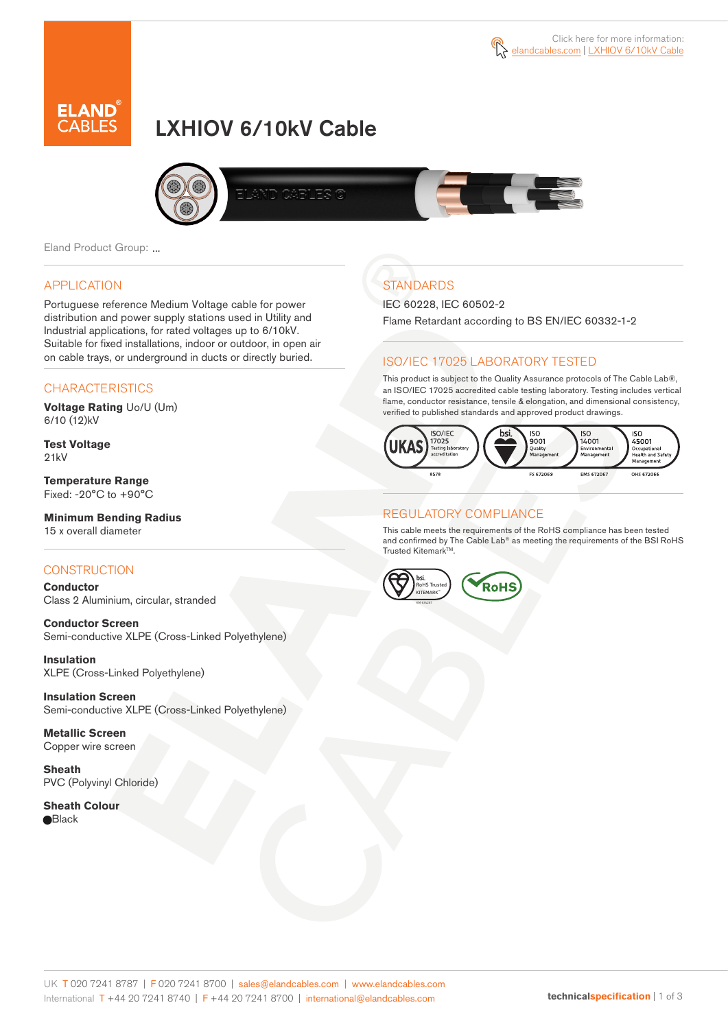

# LXHIOV 6/10kV Cable



Eland Product Group: ...

### APPLICATION

Portuguese reference Medium Voltage cable for power distribution and power supply stations used in Utility and Industrial applications, for rated voltages up to 6/10kV. Suitable for fixed installations, indoor or outdoor, in open air on cable trays, or underground in ducts or directly buried.

### **CHARACTERISTICS**

**Voltage Rating** Uo/U (Um) 6/10 (12)kV

**Test Voltage** 21kV

**Temperature Range** Fixed: -20°C to +90°C

#### **Minimum Bending Radius** 15 x overall diameter

### **CONSTRUCTION**

**Conductor**  Class 2 Aluminium, circular, stranded

**Conductor Screen** Semi-conductive XLPE (Cross-Linked Polyethylene)

**Insulation** XLPE (Cross-Linked Polyethylene)

**Insulation Screen** Semi-conductive XLPE (Cross-Linked Polyethylene)

**Metallic Screen**  Copper wire screen

**Sheath** PVC (Polyvinyl Chloride)

**Sheath Colour Black** 

## **STANDARDS**

IEC 60228, IEC 60502-2

Flame Retardant according to BS EN/IEC 60332-1-2

### ISO/IEC 17025 LABORATORY TESTED

This product is subject to the Quality Assurance protocols of The Cable Lab®, an ISO/IEC 17025 accredited cable testing laboratory. Testing includes vertical flame, conductor resistance, tensile & elongation, and dimensional consistency, verified to published standards and approved product drawings.



### REGULATORY COMPLIANCE

This cable meets the requirements of the RoHS compliance has been tested and confirmed by The Cable Lab® as meeting the requirements of the BSI RoHS Trusted Kitemark™.

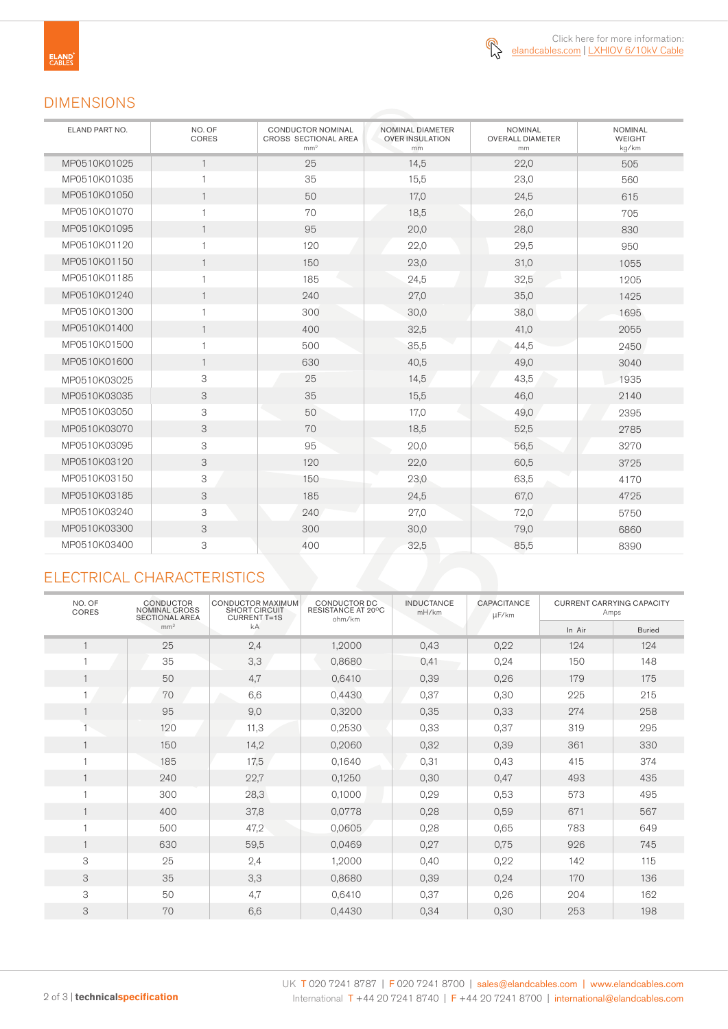

### DIMENSIONS

| ELAND PART NO. | NO. OF<br>CORES | <b>CONDUCTOR NOMINAL</b><br>CROSS SECTIONAL AREA<br>mm <sup>2</sup> | NOMINAL DIAMETER<br><b>OVER INSULATION</b><br>mm | <b>NOMINAL</b><br><b>OVERALL DIAMETER</b><br>mm | <b>NOMINAL</b><br><b>WEIGHT</b><br>kg/km |  |
|----------------|-----------------|---------------------------------------------------------------------|--------------------------------------------------|-------------------------------------------------|------------------------------------------|--|
| MP0510K01025   | $\mathbf{1}$    | 25                                                                  | 14,5                                             | 22,0                                            | 505                                      |  |
| MP0510K01035   | $\mathbf{1}$    | 35                                                                  | 15,5                                             | 23,0                                            | 560                                      |  |
| MP0510K01050   | $\mathbf{1}$    | 50                                                                  | 17,0                                             | 24,5                                            | 615                                      |  |
| MP0510K01070   | $\mathbf{1}$    | 70                                                                  | 18,5                                             | 26,0                                            | 705                                      |  |
| MP0510K01095   | $\mathbf{1}$    | 95                                                                  | 20,0                                             | 28,0                                            | 830                                      |  |
| MP0510K01120   | $\mathbf{1}$    | 120                                                                 | 22,0                                             | 29,5                                            | 950                                      |  |
| MP0510K01150   | $\mathbf{1}$    | 150                                                                 | 23,0                                             | 31,0                                            | 1055                                     |  |
| MP0510K01185   | $\mathbf{1}$    | 185                                                                 | 24,5                                             | 32,5                                            | 1205                                     |  |
| MP0510K01240   | $\mathbf{1}$    | 240                                                                 | 27,0                                             | 35,0                                            | 1425                                     |  |
| MP0510K01300   | $\mathbf{1}$    | 300                                                                 | 30,0                                             | 38,0                                            | 1695                                     |  |
| MP0510K01400   | $\overline{1}$  | 400                                                                 | 32,5                                             | 41,0                                            | 2055                                     |  |
| MP0510K01500   | $\mathbf{1}$    | 500                                                                 | 35,5                                             | 44,5                                            | 2450                                     |  |
| MP0510K01600   | $\mathbf{1}$    | 630                                                                 | 40,5                                             | 49,0                                            | 3040                                     |  |
| MP0510K03025   | 3               | 25                                                                  | 14,5                                             | 43,5                                            | 1935                                     |  |
| MP0510K03035   | 3               | 35                                                                  | 15,5                                             | 46,0                                            | 2140                                     |  |
| MP0510K03050   | 3               | 50                                                                  | 17,0                                             | 49,0                                            | 2395                                     |  |
| MP0510K03070   | 3               | 70                                                                  | 18,5                                             | 52,5                                            | 2785                                     |  |
| MP0510K03095   | 3               | 95                                                                  | 20,0                                             | 56,5                                            | 3270                                     |  |
| MP0510K03120   | 3               | 120                                                                 | 22,0                                             | 60,5                                            | 3725                                     |  |
| MP0510K03150   | 3               | 150                                                                 | 23,0                                             | 63,5                                            | 4170                                     |  |
| MP0510K03185   | 3               | 185                                                                 | 24,5                                             | 67,0                                            | 4725                                     |  |
| MP0510K03240   | 3               | 240                                                                 | 27,0                                             | 72,0                                            | 5750                                     |  |
| MP0510K03300   | 3               | 300                                                                 | 30,0                                             | 79,0                                            | 6860                                     |  |
| MP0510K03400   | 3               | 400                                                                 | 32,5                                             | 85,5                                            | 8390                                     |  |

### ELECTRICAL CHARACTERISTICS

| NO. OF<br>CORES | <b>CONDUCTOR</b><br><b>NOMINAL CROSS</b><br><b>SECTIONAL AREA</b> | <b>CONDUCTOR MAXIMUM</b><br><b>SHORT CIRCUIT</b><br><b>CURRENT T=1S</b> | CONDUCTOR DC<br>RESISTANCE AT 20°C<br>ohm/km | <b>INDUCTANCE</b><br>mH/km | <b>CAPACITANCE</b><br>µF/km | <b>CURRENT CARRYING CAPACITY</b><br>Amps |               |
|-----------------|-------------------------------------------------------------------|-------------------------------------------------------------------------|----------------------------------------------|----------------------------|-----------------------------|------------------------------------------|---------------|
|                 | mm <sup>2</sup>                                                   | kA                                                                      |                                              |                            |                             | In Air                                   | <b>Buried</b> |
|                 | 25                                                                | 2,4                                                                     | 1,2000                                       | 0,43                       | 0,22                        | 124                                      | 124           |
|                 | 35                                                                | 3,3                                                                     | 0,8680                                       | 0,41                       | 0,24                        | 150                                      | 148           |
|                 | 50                                                                | 4,7                                                                     | 0,6410                                       | 0,39                       | 0,26                        | 179                                      | 175           |
|                 | 70                                                                | 6,6                                                                     | 0,4430                                       | 0,37                       | 0,30                        | 225                                      | 215           |
|                 | 95                                                                | 9,0                                                                     | 0,3200                                       | 0,35                       | 0,33                        | 274                                      | 258           |
|                 | 120                                                               | 11,3                                                                    | 0,2530                                       | 0,33                       | 0,37                        | 319                                      | 295           |
| $\mathbf{1}$    | 150                                                               | 14,2                                                                    | 0,2060                                       | 0,32                       | 0,39                        | 361                                      | 330           |
|                 | 185                                                               | 17,5                                                                    | 0,1640                                       | 0,31                       | 0,43                        | 415                                      | 374           |
|                 | 240                                                               | 22,7                                                                    | 0,1250                                       | 0,30                       | 0,47                        | 493                                      | 435           |
|                 | 300                                                               | 28,3                                                                    | 0,1000                                       | 0,29                       | 0,53                        | 573                                      | 495           |
|                 | 400                                                               | 37,8                                                                    | 0,0778                                       | 0,28                       | 0,59                        | 671                                      | 567           |
|                 | 500                                                               | 47,2                                                                    | 0,0605                                       | 0,28                       | 0,65                        | 783                                      | 649           |
|                 | 630                                                               | 59,5                                                                    | 0,0469                                       | 0,27                       | 0,75                        | 926                                      | 745           |
| 3               | 25                                                                | 2,4                                                                     | 1,2000                                       | 0,40                       | 0,22                        | 142                                      | 115           |
| 3               | 35                                                                | 3,3                                                                     | 0,8680                                       | 0,39                       | 0,24                        | 170                                      | 136           |
| 3               | 50                                                                | 4,7                                                                     | 0,6410                                       | 0,37                       | 0,26                        | 204                                      | 162           |
| 3               | 70                                                                | 6,6                                                                     | 0,4430                                       | 0,34                       | 0,30                        | 253                                      | 198           |